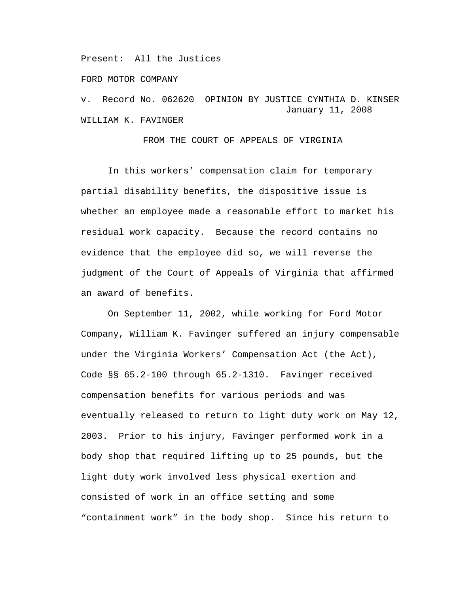Present: All the Justices

FORD MOTOR COMPANY

v. Record No. 062620 OPINION BY JUSTICE CYNTHIA D. KINSER January 11, 2008 WILLIAM K. FAVINGER

FROM THE COURT OF APPEALS OF VIRGINIA

In this workers' compensation claim for temporary partial disability benefits, the dispositive issue is whether an employee made a reasonable effort to market his residual work capacity. Because the record contains no evidence that the employee did so, we will reverse the judgment of the Court of Appeals of Virginia that affirmed an award of benefits.

On September 11, 2002, while working for Ford Motor Company, William K. Favinger suffered an injury compensable under the Virginia Workers' Compensation Act (the Act), Code §§ 65.2-100 through 65.2-1310. Favinger received compensation benefits for various periods and was eventually released to return to light duty work on May 12, 2003. Prior to his injury, Favinger performed work in a body shop that required lifting up to 25 pounds, but the light duty work involved less physical exertion and consisted of work in an office setting and some "containment work" in the body shop. Since his return to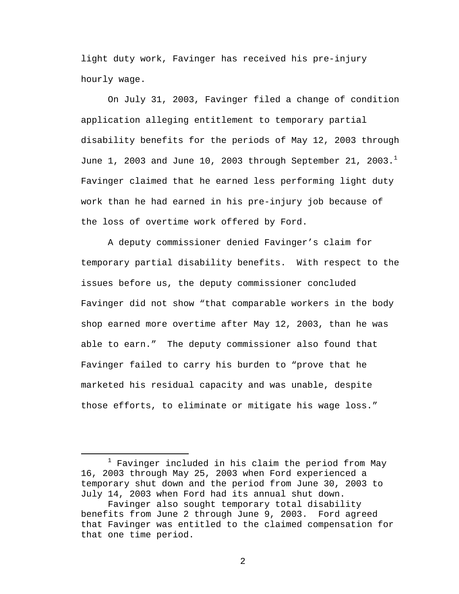light duty work, Favinger has received his pre-injury hourly wage.

On July 31, 2003, Favinger filed a change of condition application alleging entitlement to temporary partial disability benefits for the periods of May 12, 2003 through June 1, 2003 and June 10, 2003 through September 21, 2003. $^1$ Favinger claimed that he earned less performing light duty work than he had earned in his pre-injury job because of the loss of overtime work offered by Ford.

A deputy commissioner denied Favinger's claim for temporary partial disability benefits. With respect to the issues before us, the deputy commissioner concluded Favinger did not show "that comparable workers in the body shop earned more overtime after May 12, 2003, than he was able to earn." The deputy commissioner also found that Favinger failed to carry his burden to "prove that he marketed his residual capacity and was unable, despite those efforts, to eliminate or mitigate his wage loss."

<sup>&</sup>lt;u>1</u>  $1$  Favinger included in his claim the period from May 16, 2003 through May 25, 2003 when Ford experienced a temporary shut down and the period from June 30, 2003 to July 14, 2003 when Ford had its annual shut down.

Favinger also sought temporary total disability benefits from June 2 through June 9, 2003. Ford agreed that Favinger was entitled to the claimed compensation for that one time period.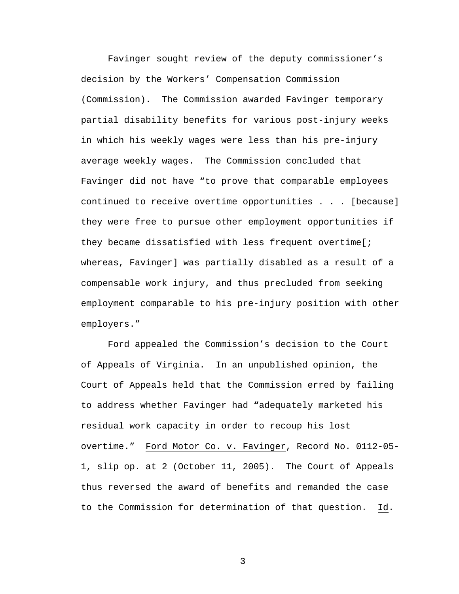Favinger sought review of the deputy commissioner's decision by the Workers' Compensation Commission (Commission). The Commission awarded Favinger temporary partial disability benefits for various post-injury weeks in which his weekly wages were less than his pre-injury average weekly wages. The Commission concluded that Favinger did not have "to prove that comparable employees continued to receive overtime opportunities . . . [because] they were free to pursue other employment opportunities if they became dissatisfied with less frequent overtime[; whereas, Favinger] was partially disabled as a result of a compensable work injury, and thus precluded from seeking employment comparable to his pre-injury position with other employers."

Ford appealed the Commission's decision to the Court of Appeals of Virginia. In an unpublished opinion, the Court of Appeals held that the Commission erred by failing to address whether Favinger had **"**adequately marketed his residual work capacity in order to recoup his lost overtime." Ford Motor Co. v. Favinger, Record No. 0112-05- 1, slip op. at 2 (October 11, 2005). The Court of Appeals thus reversed the award of benefits and remanded the case to the Commission for determination of that question. Id.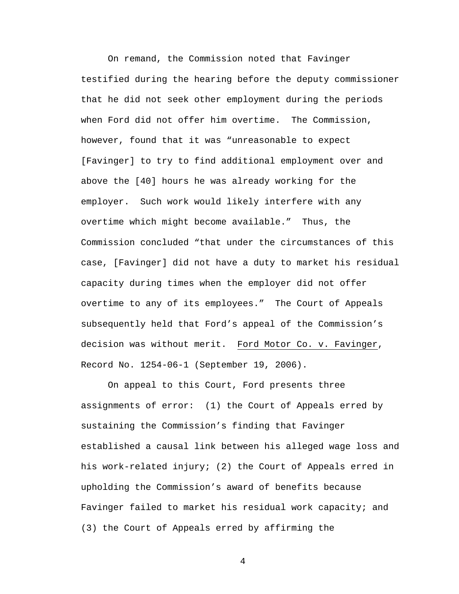On remand, the Commission noted that Favinger testified during the hearing before the deputy commissioner that he did not seek other employment during the periods when Ford did not offer him overtime. The Commission, however, found that it was "unreasonable to expect [Favinger] to try to find additional employment over and above the [40] hours he was already working for the employer. Such work would likely interfere with any overtime which might become available." Thus, the Commission concluded "that under the circumstances of this case, [Favinger] did not have a duty to market his residual capacity during times when the employer did not offer overtime to any of its employees." The Court of Appeals subsequently held that Ford's appeal of the Commission's decision was without merit. Ford Motor Co. v. Favinger, Record No. 1254-06-1 (September 19, 2006).

On appeal to this Court, Ford presents three assignments of error: (1) the Court of Appeals erred by sustaining the Commission's finding that Favinger established a causal link between his alleged wage loss and his work-related injury; (2) the Court of Appeals erred in upholding the Commission's award of benefits because Favinger failed to market his residual work capacity; and (3) the Court of Appeals erred by affirming the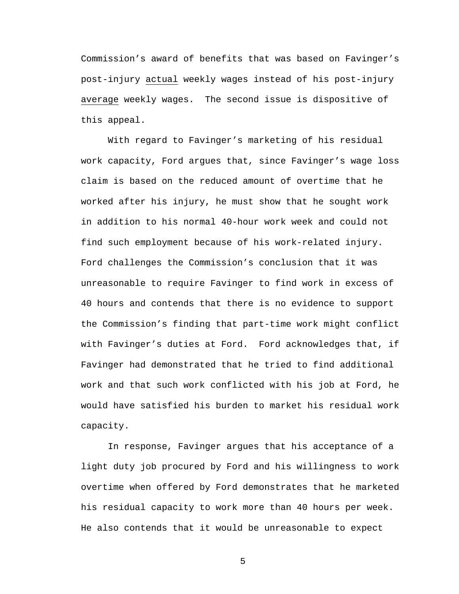Commission's award of benefits that was based on Favinger's post-injury actual weekly wages instead of his post-injury average weekly wages. The second issue is dispositive of this appeal.

With regard to Favinger's marketing of his residual work capacity, Ford argues that, since Favinger's wage loss claim is based on the reduced amount of overtime that he worked after his injury, he must show that he sought work in addition to his normal 40-hour work week and could not find such employment because of his work-related injury. Ford challenges the Commission's conclusion that it was unreasonable to require Favinger to find work in excess of 40 hours and contends that there is no evidence to support the Commission's finding that part-time work might conflict with Favinger's duties at Ford. Ford acknowledges that, if Favinger had demonstrated that he tried to find additional work and that such work conflicted with his job at Ford, he would have satisfied his burden to market his residual work capacity.

In response, Favinger argues that his acceptance of a light duty job procured by Ford and his willingness to work overtime when offered by Ford demonstrates that he marketed his residual capacity to work more than 40 hours per week. He also contends that it would be unreasonable to expect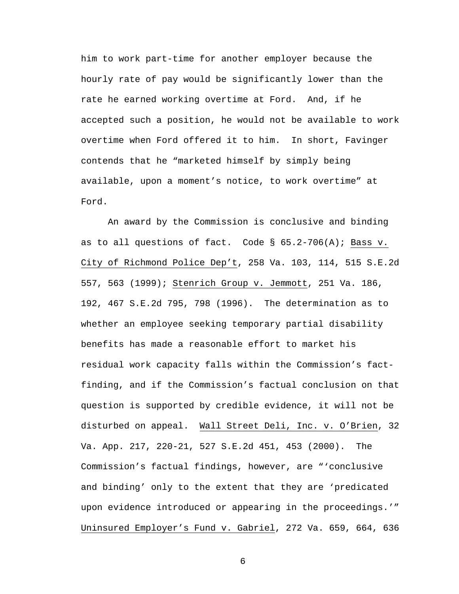him to work part-time for another employer because the hourly rate of pay would be significantly lower than the rate he earned working overtime at Ford. And, if he accepted such a position, he would not be available to work overtime when Ford offered it to him. In short, Favinger contends that he "marketed himself by simply being available, upon a moment's notice, to work overtime" at Ford.

An award by the Commission is conclusive and binding as to all questions of fact. Code  $\S$  65.2-706(A); Bass v. City of Richmond Police Dep't, 258 Va. 103, 114, 515 S.E.2d 557, 563 (1999); Stenrich Group v. Jemmott, 251 Va. 186, 192, 467 S.E.2d 795, 798 (1996). The determination as to whether an employee seeking temporary partial disability benefits has made a reasonable effort to market his residual work capacity falls within the Commission's factfinding, and if the Commission's factual conclusion on that question is supported by credible evidence, it will not be disturbed on appeal. Wall Street Deli, Inc. v. O'Brien, 32 Va. App. 217, 220-21, 527 S.E.2d 451, 453 (2000). The Commission's factual findings, however, are "'conclusive and binding' only to the extent that they are 'predicated upon evidence introduced or appearing in the proceedings.'" Uninsured Employer's Fund v. Gabriel, 272 Va. 659, 664, 636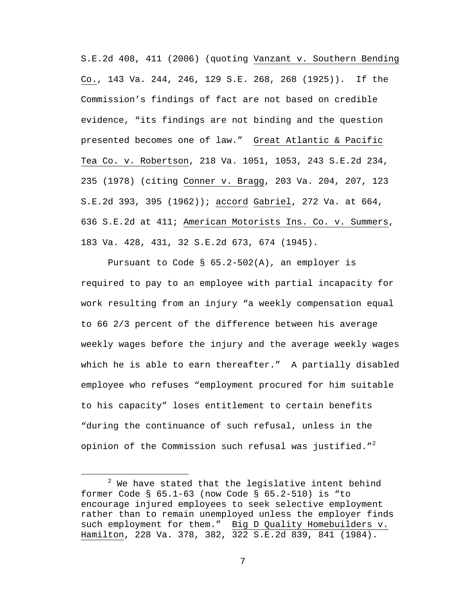S.E.2d 408, 411 (2006) (quoting Vanzant v. Southern Bending Co., 143 Va. 244, 246, 129 S.E. 268, 268 (1925)). If the Commission's findings of fact are not based on credible evidence, "its findings are not binding and the question presented becomes one of law." Great Atlantic & Pacific Tea Co. v. Robertson, 218 Va. 1051, 1053, 243 S.E.2d 234, 235 (1978) (citing Conner v. Bragg, 203 Va. 204, 207, 123 S.E.2d 393, 395 (1962)); accord Gabriel, 272 Va. at 664, 636 S.E.2d at 411; American Motorists Ins. Co. v. Summers, 183 Va. 428, 431, 32 S.E.2d 673, 674 (1945).

Pursuant to Code § 65.2-502(A), an employer is required to pay to an employee with partial incapacity for work resulting from an injury "a weekly compensation equal to 66 2/3 percent of the difference between his average weekly wages before the injury and the average weekly wages which he is able to earn thereafter." A partially disabled employee who refuses "employment procured for him suitable to his capacity" loses entitlement to certain benefits "during the continuance of such refusal, unless in the opinion of the Commission such refusal was justified." $^2$ 

 $\begin{array}{c|c}\n\hline\n\end{array}$  $2$  We have stated that the legislative intent behind former Code § 65.1-63 (now Code § 65.2-510) is "to encourage injured employees to seek selective employment rather than to remain unemployed unless the employer finds such employment for them." Big D Quality Homebuilders v. Hamilton, 228 Va. 378, 382, 322 S.E.2d 839, 841 (1984).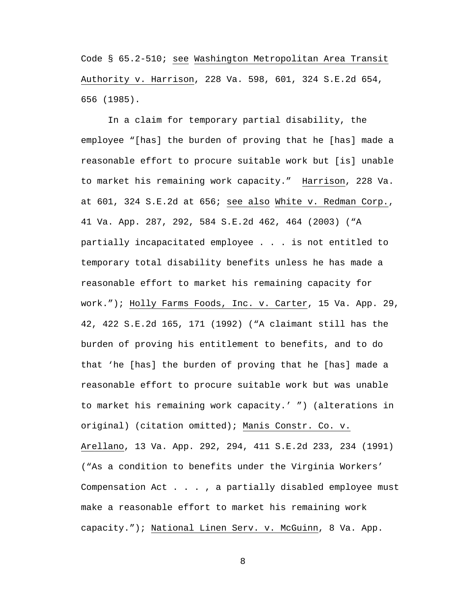Code § 65.2-510; see Washington Metropolitan Area Transit Authority v. Harrison, 228 Va. 598, 601, 324 S.E.2d 654, 656 (1985).

In a claim for temporary partial disability, the employee "[has] the burden of proving that he [has] made a reasonable effort to procure suitable work but [is] unable to market his remaining work capacity." Harrison, 228 Va. at 601, 324 S.E.2d at 656; see also White v. Redman Corp., 41 Va. App. 287, 292, 584 S.E.2d 462, 464 (2003) ("A partially incapacitated employee . . . is not entitled to temporary total disability benefits unless he has made a reasonable effort to market his remaining capacity for work."); Holly Farms Foods, Inc. v. Carter, 15 Va. App. 29, 42, 422 S.E.2d 165, 171 (1992) ("A claimant still has the burden of proving his entitlement to benefits, and to do that 'he [has] the burden of proving that he [has] made a reasonable effort to procure suitable work but was unable to market his remaining work capacity.' ") (alterations in original) (citation omitted); Manis Constr. Co. v. Arellano, 13 Va. App. 292, 294, 411 S.E.2d 233, 234 (1991) ("As a condition to benefits under the Virginia Workers' Compensation Act . . . , a partially disabled employee must make a reasonable effort to market his remaining work capacity."); National Linen Serv. v. McGuinn, 8 Va. App.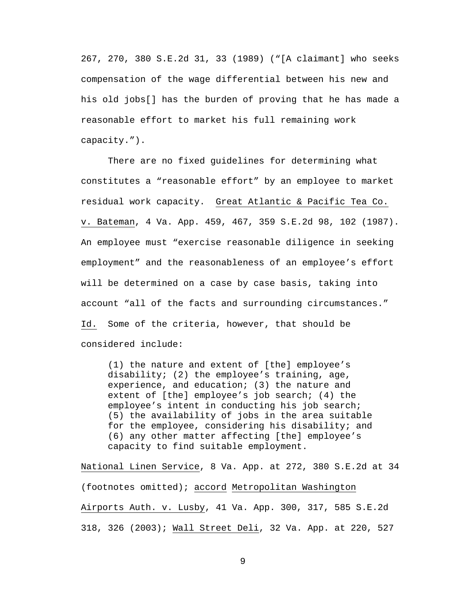267, 270, 380 S.E.2d 31, 33 (1989) ("[A claimant] who seeks compensation of the wage differential between his new and his old jobs[] has the burden of proving that he has made a reasonable effort to market his full remaining work capacity.").

There are no fixed guidelines for determining what constitutes a "reasonable effort" by an employee to market residual work capacity. Great Atlantic & Pacific Tea Co. v. Bateman, 4 Va. App. 459, 467, 359 S.E.2d 98, 102 (1987). An employee must "exercise reasonable diligence in seeking employment" and the reasonableness of an employee's effort will be determined on a case by case basis, taking into account "all of the facts and surrounding circumstances." Id. Some of the criteria, however, that should be considered include:

(1) the nature and extent of [the] employee's disability; (2) the employee's training, age, experience, and education; (3) the nature and extent of [the] employee's job search; (4) the employee's intent in conducting his job search; (5) the availability of jobs in the area suitable for the employee, considering his disability; and (6) any other matter affecting [the] employee's capacity to find suitable employment.

National Linen Service, 8 Va. App. at 272, 380 S.E.2d at 34 (footnotes omitted); accord Metropolitan Washington Airports Auth. v. Lusby, 41 Va. App. 300, 317, 585 S.E.2d 318, 326 (2003); Wall Street Deli, 32 Va. App. at 220, 527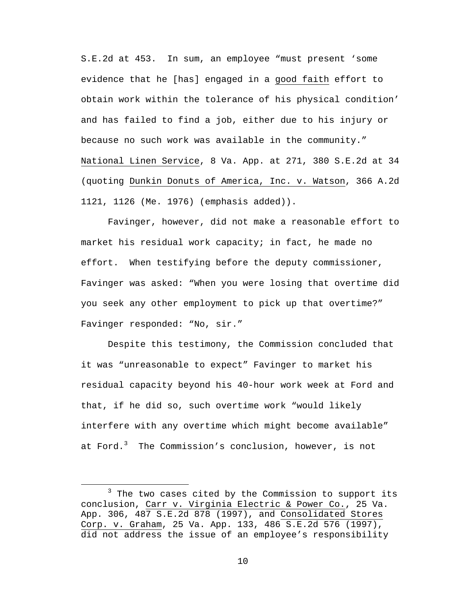S.E.2d at 453. In sum, an employee "must present 'some evidence that he [has] engaged in a good faith effort to obtain work within the tolerance of his physical condition' and has failed to find a job, either due to his injury or because no such work was available in the community." National Linen Service, 8 Va. App. at 271, 380 S.E.2d at 34 (quoting Dunkin Donuts of America, Inc. v. Watson, 366 A.2d 1121, 1126 (Me. 1976) (emphasis added)).

Favinger, however, did not make a reasonable effort to market his residual work capacity; in fact, he made no effort. When testifying before the deputy commissioner, Favinger was asked: "When you were losing that overtime did you seek any other employment to pick up that overtime?" Favinger responded: "No, sir."

Despite this testimony, the Commission concluded that it was "unreasonable to expect" Favinger to market his residual capacity beyond his 40-hour work week at Ford and that, if he did so, such overtime work "would likely interfere with any overtime which might become available" at Ford.<sup>3</sup> The Commission's conclusion, however, is not

 $\overline{\phantom{a}}$  3  $3$  The two cases cited by the Commission to support its conclusion, Carr v. Virginia Electric & Power Co., 25 Va. App. 306, 487 S.E.2d 878 (1997), and Consolidated Stores Corp. v. Graham, 25 Va. App. 133, 486 S.E.2d 576 (1997), did not address the issue of an employee's responsibility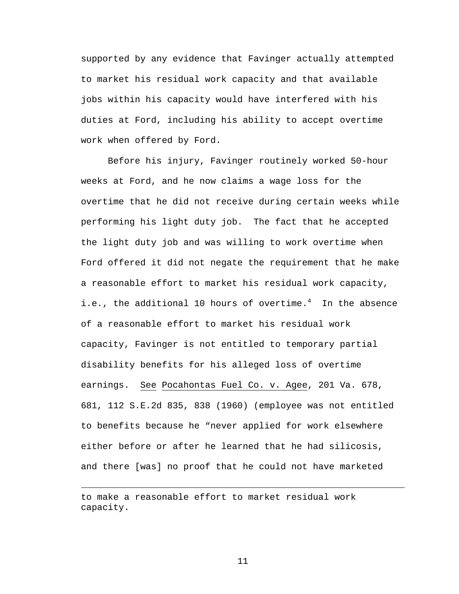supported by any evidence that Favinger actually attempted to market his residual work capacity and that available jobs within his capacity would have interfered with his duties at Ford, including his ability to accept overtime work when offered by Ford.

Before his injury, Favinger routinely worked 50-hour weeks at Ford, and he now claims a wage loss for the overtime that he did not receive during certain weeks while performing his light duty job. The fact that he accepted the light duty job and was willing to work overtime when Ford offered it did not negate the requirement that he make a reasonable effort to market his residual work capacity, i.e., the additional 10 hours of overtime.<sup>4</sup> In the absence of a reasonable effort to market his residual work capacity, Favinger is not entitled to temporary partial disability benefits for his alleged loss of overtime earnings. See Pocahontas Fuel Co. v. Agee, 201 Va. 678, 681, 112 S.E.2d 835, 838 (1960) (employee was not entitled to benefits because he "never applied for work elsewhere either before or after he learned that he had silicosis, and there [was] no proof that he could not have marketed

 $\overline{\phantom{0}}$ 

to make a reasonable effort to market residual work capacity.